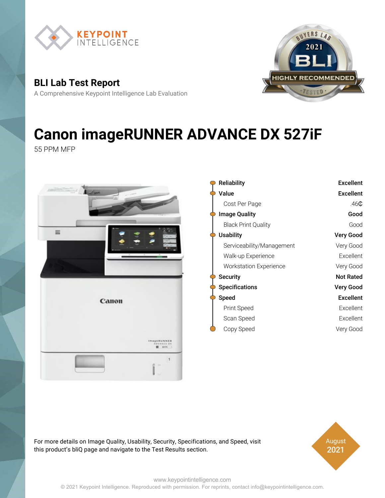

**QUYERS LAR 2021 RECOMMENDEI** 

**BLI Lab Test Report**

A Comprehensive Keypoint Intelligence Lab Evaluation

# **Canon imageRUNNER ADVANCE DX 527iF**

55 PPM MFP



For more details on Image Quality, Usability, Security, Specifications, and Speed, visit this product's bliQ page and navigate to the Test Results section.

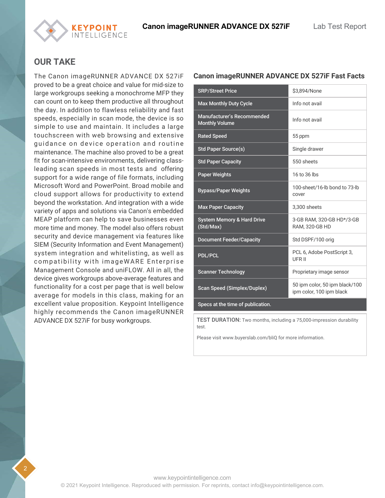### **OUR TAKE**

*CEYPOINT* **NTELLIGENCE** 

The Canon imageRUNNER ADVANCE DX 527iF proved to be a great choice and value for mid-size to large workgroups seeking a monochrome MFP they can count on to keep them productive all throughout the day. In addition to flawless reliability and fast speeds, especially in scan mode, the device is so simple to use and maintain. It includes a large touchscreen with web browsing and extensive guidance on device operation and routine maintenance. The machine also proved to be a great fit for scan-intensive environments, delivering classleading scan speeds in most tests and offering support for a wide range of file formats, including Microsoft Word and PowerPoint. Broad mobile and cloud support allows for productivity to extend beyond the workstation. And integration with a wide variety of apps and solutions via Canon's embedded MEAP platform can help to save businesses even more time and money. The model also offers robust security and device management via features like SIEM (Security Information and Event Management) system integration and whitelisting, as well as compatibility with imageWARE Enterprise Management Console and uniFLOW. All in all, the device gives workgroups above-average features and functionality for a cost per page that is well below average for models in this class, making for an excellent value proposition. Keypoint Intelligence highly recommends the Canon imageRUNNER ADVANCE DX 527iF for busy workgroups.

#### **Canon imageRUNNER ADVANCE DX 527iF Fast Facts**

| <b>SRP/Street Price</b>                             | \$3.894/None                                               |  |
|-----------------------------------------------------|------------------------------------------------------------|--|
| <b>Max Monthly Duty Cycle</b>                       | Info not avail                                             |  |
| Manufacturer's Recommended<br><b>Monthly Volume</b> | Info not avail                                             |  |
| <b>Rated Speed</b>                                  | 55 ppm                                                     |  |
| <b>Std Paper Source(s)</b>                          | Single drawer                                              |  |
| <b>Std Paper Capacity</b>                           | 550 sheets                                                 |  |
| <b>Paper Weights</b>                                | 16 to 36 lbs                                               |  |
| <b>Bypass/Paper Weights</b>                         | 100-sheet/16-lb bond to 73-lb<br>cover                     |  |
| <b>Max Paper Capacity</b>                           | 3,300 sheets                                               |  |
| <b>System Memory &amp; Hard Drive</b><br>(Std/Max)  | 3-GB RAM, 320-GB HD*/3-GB<br>RAM, 320-GB HD                |  |
| <b>Document Feeder/Capacity</b>                     | Std DSPF/100 orig                                          |  |
| <b>PDL/PCL</b>                                      | PCL 6, Adobe PostScript 3,<br>UFR II                       |  |
| <b>Scanner Technology</b>                           | Proprietary image sensor                                   |  |
| <b>Scan Speed (Simplex/Duplex)</b>                  | 50 ipm color, 50 ipm black/100<br>ipm color, 100 ipm black |  |
| Specs at the time of publication.                   |                                                            |  |

TEST DURATION: Two months, including a 75,000-impression durability test.

Please visit www.buyerslab.com/bliQ for more information.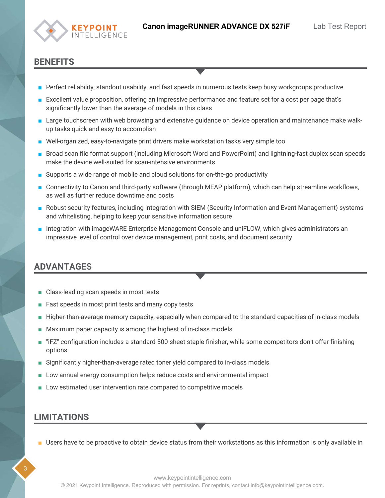

#### **BENEFITS**

- Perfect reliability, standout usability, and fast speeds in numerous tests keep busy workgroups productive
- Excellent value proposition, offering an impressive performance and feature set for a cost per page that's significantly lower than the average of models in this class
- Large touchscreen with web browsing and extensive guidance on device operation and maintenance make walkup tasks quick and easy to accomplish
- Well-organized, easy-to-navigate print drivers make workstation tasks very simple too
- Broad scan file format support (including Microsoft Word and PowerPoint) and lightning-fast duplex scan speeds make the device well-suited for scan-intensive environments
- Supports a wide range of mobile and cloud solutions for on-the-go productivity
- Connectivity to Canon and third-party software (through MEAP platform), which can help streamline workflows, as well as further reduce downtime and costs
- Robust security features, including integration with SIEM (Security Information and Event Management) systems and whitelisting, helping to keep your sensitive information secure
- Integration with imageWARE Enterprise Management Console and uniFLOW, which gives administrators an impressive level of control over device management, print costs, and document security

### **ADVANTAGES**

- Class-leading scan speeds in most tests
- Fast speeds in most print tests and many copy tests
- Higher-than-average memory capacity, especially when compared to the standard capacities of in-class models
- Maximum paper capacity is among the highest of in-class models
- "iFZ" configuration includes a standard 500-sheet staple finisher, while some competitors don't offer finishing options
- Significantly higher-than-average rated toner yield compared to in-class models
- Low annual energy consumption helps reduce costs and environmental impact
- Low estimated user intervention rate compared to competitive models

#### **LIMITATIONS**

■ Users have to be proactive to obtain device status from their workstations as this information is only available in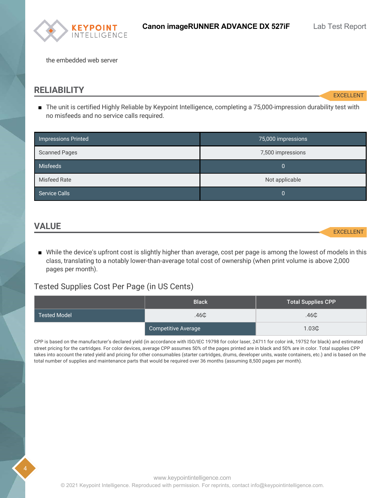

the embedded web server

#### <span id="page-3-0"></span>**RELIABILITY**

**EXCELLENT** 

■ The unit is certified Highly Reliable by Keypoint Intelligence, completing a 75,000-impression durability test with no misfeeds and no service calls required.

| Impressions Printed  | 75,000 impressions |
|----------------------|--------------------|
| <b>Scanned Pages</b> | 7,500 impressions  |
| Misfeeds             | 0                  |
| <b>Misfeed Rate</b>  | Not applicable     |
| Service Calls        | 0                  |

#### <span id="page-3-1"></span>**VALUE**

4

EXCELLENT

■ While the device's upfront cost is slightly higher than average, cost per page is among the lowest of models in this class, translating to a notably lower-than-average total cost of ownership (when print volume is above 2,000 pages per month).

#### Tested Supplies Cost Per Page (in US Cents)

|                     | <b>Black</b>        | <b>Total Supplies CPP</b> |
|---------------------|---------------------|---------------------------|
| <b>Tested Model</b> | .46 <sub>CD</sub>   | .46 <sup>°</sup>          |
|                     | Competitive Average | 1.03C                     |

CPP is based on the manufacturer's declared yield (in accordance with ISO/IEC 19798 for color laser, 24711 for color ink, 19752 for black) and estimated street pricing for the cartridges. For color devices, average CPP assumes 50% of the pages printed are in black and 50% are in color. Total supplies CPP takes into account the rated yield and pricing for other consumables (starter cartridges, drums, developer units, waste containers, etc.) and is based on the total number of supplies and maintenance parts that would be required over 36 months (assuming 8,500 pages per month).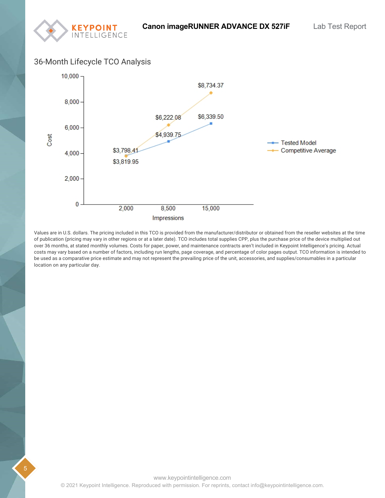#### 36-Month Lifecycle TCO Analysis

**KEYPOINT**<br>INTELLIGENCE



Values are in U.S. dollars. The pricing included in this TCO is provided from the manufacturer/distributor or obtained from the reseller websites at the time of publication (pricing may vary in other regions or at a later date). TCO includes total supplies CPP, plus the purchase price of the device multiplied out over 36 months, at stated monthly volumes. Costs for paper, power, and maintenance contracts aren't included in Keypoint Intelligence's pricing. Actual costs may vary based on a number of factors, including run lengths, page coverage, and percentage of color pages output. TCO information is intended to be used as a comparative price estimate and may not represent the prevailing price of the unit, accessories, and supplies/consumables in a particular location on any particular day.

5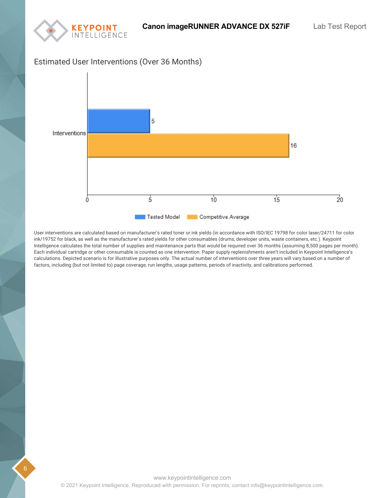

#### Estimated User Interventions (Over 36 Months)



User interventions are calculated based on manufacturer's rated toner or ink yields (in accordance with ISO/IEC 19798 for color laser/24711 for color ink/19752 for black, as well as the manufacturer's rated yields for other consumables (drums, developer units, waste containers, etc.). Keypoint Intelligence calculates the total number of supplies and maintenance parts that would be required over 36 months (assuming 8,500 pages per month). Each individual cartridge or other consumable is counted as one intervention. Paper supply replenishments aren't included in Keypoint Intelligence's calculations. Depicted scenario is for illustrative purposes only. The actual number of interventions over three years will vary based on a number of factors, including (but not limited to) page coverage, run lengths, usage patterns, periods of inactivity, and calibrations performed.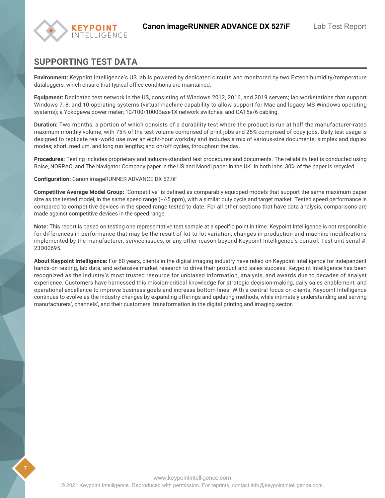

### **SUPPORTING TEST DATA**

**Environment:** Keypoint Intelligence's US lab is powered by dedicated circuits and monitored by two Extech humidity/temperature dataloggers, which ensure that typical office conditions are maintained.

**Equipment:** Dedicated test network in the US, consisting of Windows 2012, 2016, and 2019 servers; lab workstations that support Windows 7, 8, and 10 operating systems (virtual machine capability to allow support for Mac and legacy MS Windows operating systems); a Yokogawa power meter; 10/100/1000BaseTX network switches; and CAT5e/6 cabling.

**Duration:** Two months, a portion of which consists of a durability test where the product is run at half the manufacturer-rated maximum monthly volume, with 75% of the test volume comprised of print jobs and 25% comprised of copy jobs. Daily test usage is designed to replicate real-world use over an eight-hour workday and includes a mix of various-size documents; simplex and duplex modes; short, medium, and long run lengths; and on/off cycles, throughout the day.

**Procedures:** Testing includes proprietary and industry-standard test procedures and documents. The reliability test is conducted using Boise, NORPAC, and The Navigator Company paper in the US and Mondi paper in the UK. In both labs, 30% of the paper is recycled.

**Configuration:** Canon imageRUNNER ADVANCE DX 527iF

**Competitive Average Model Group:** "Competitive" is defined as comparably equipped models that support the same maximum paper size as the tested model, in the same speed range (+/-5 ppm), with a similar duty cycle and target market. Tested speed performance is compared to competitive devices in the speed range tested to date. For all other sections that have data analysis, comparisons are made against competitive devices in the speed range.

**Note:** This report is based on testing one representative test sample at a specific point in time. Keypoint Intelligence is not responsible for differences in performance that may be the result of lot-to-lot variation, changes in production and machine modifications implemented by the manufacturer, service issues, or any other reason beyond Keypoint Intelligence's control. Test unit serial #: 23D00695.

**About Keypoint Intelligence:** For 60 years, clients in the digital imaging industry have relied on Keypoint Intelligence for independent hands-on testing, lab data, and extensive market research to drive their product and sales success. Keypoint Intelligence has been recognized as the industry's most trusted resource for unbiased information, analysis, and awards due to decades of analyst experience. Customers have harnessed this mission-critical knowledge for strategic decision-making, daily sales enablement, and operational excellence to improve business goals and increase bottom lines. With a central focus on clients, Keypoint Intelligence continues to evolve as the industry changes by expanding offerings and updating methods, while intimately understanding and serving manufacturers', channels', and their customers' transformation in the digital printing and imaging sector.

7